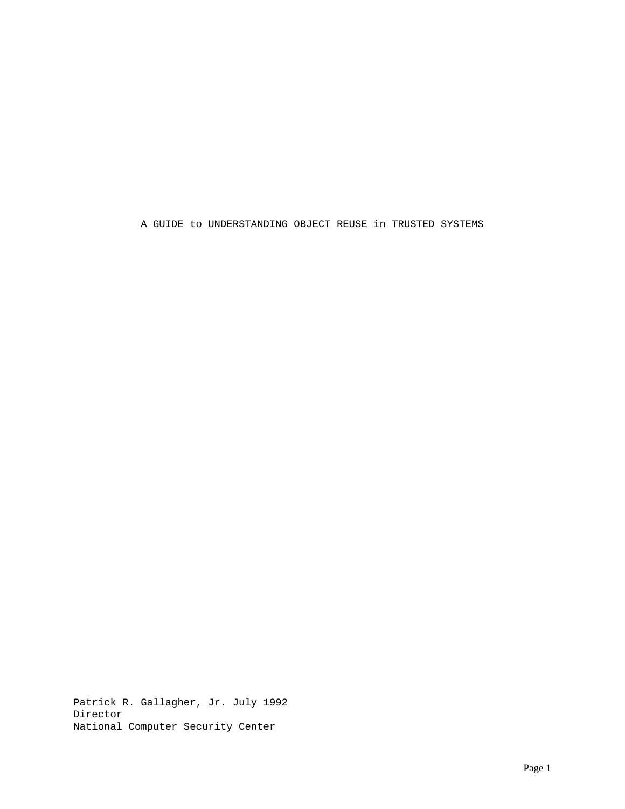A GUIDE to UNDERSTANDING OBJECT REUSE in TRUSTED SYSTEMS

Patrick R. Gallagher, Jr. July 1992 Director National Computer Security Center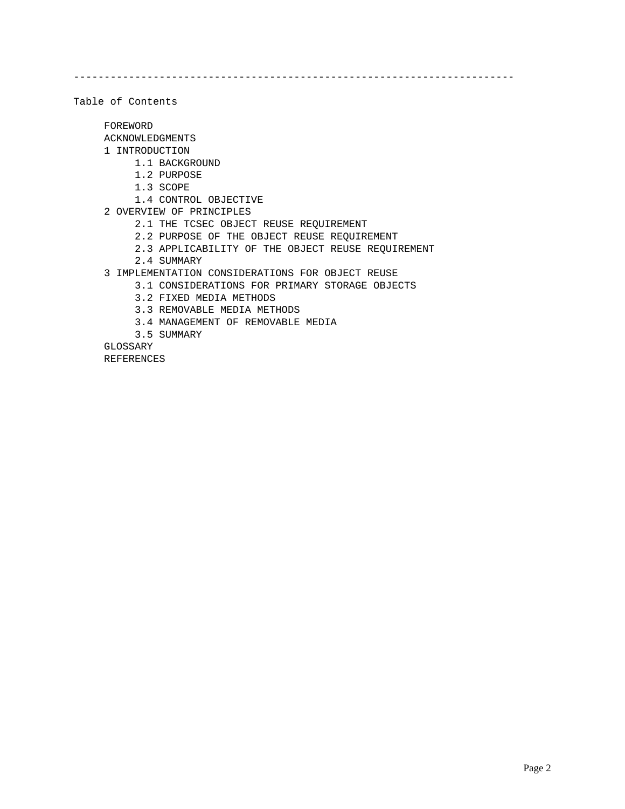------------------------------------------------------------------------

Table of Contents

FOREWORD

ACKNOWLEDGMENTS

- 1 INTRODUCTION
	- 1.1 BACKGROUND
	- 1.2 PURPOSE
	- 1.3 SCOPE
	- 1.4 CONTROL OBJECTIVE
- 2 OVERVIEW OF PRINCIPLES
	- 2.1 THE TCSEC OBJECT REUSE REQUIREMENT
	- 2.2 PURPOSE OF THE OBJECT REUSE REQUIREMENT
	- 2.3 APPLICABILITY OF THE OBJECT REUSE REQUIREMENT
	- 2.4 SUMMARY
- 3 IMPLEMENTATION CONSIDERATIONS FOR OBJECT REUSE
	- 3.1 CONSIDERATIONS FOR PRIMARY STORAGE OBJECTS
	- 3.2 FIXED MEDIA METHODS
	- 3.3 REMOVABLE MEDIA METHODS
	- 3.4 MANAGEMENT OF REMOVABLE MEDIA
	- 3.5 SUMMARY

GLOSSARY

REFERENCES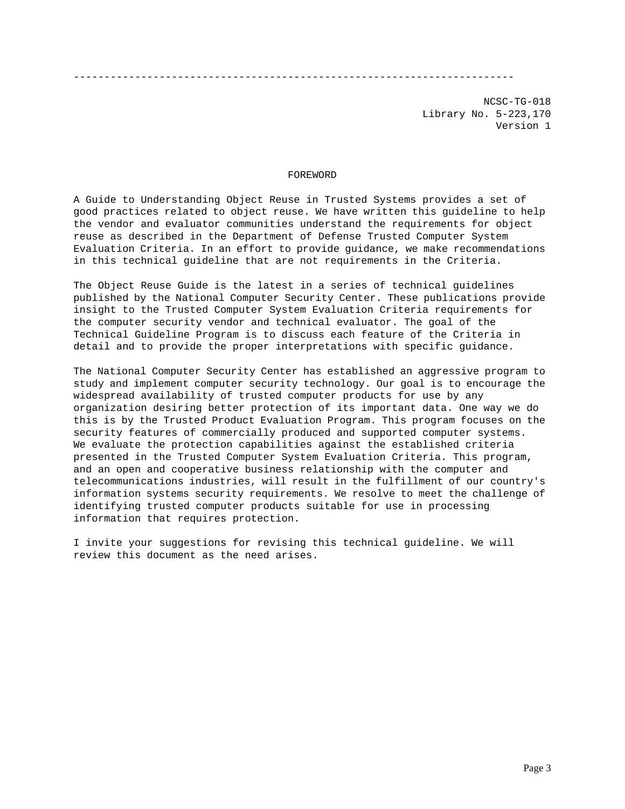------------------------------------------------------------------------

NCSC-TG-018 Library No. 5-223,170 Version 1

# FOREWORD

A Guide to Understanding Object Reuse in Trusted Systems provides a set of good practices related to object reuse. We have written this guideline to help the vendor and evaluator communities understand the requirements for object reuse as described in the Department of Defense Trusted Computer System Evaluation Criteria. In an effort to provide guidance, we make recommendations in this technical guideline that are not requirements in the Criteria.

The Object Reuse Guide is the latest in a series of technical guidelines published by the National Computer Security Center. These publications provide insight to the Trusted Computer System Evaluation Criteria requirements for the computer security vendor and technical evaluator. The goal of the Technical Guideline Program is to discuss each feature of the Criteria in detail and to provide the proper interpretations with specific guidance.

The National Computer Security Center has established an aggressive program to study and implement computer security technology. Our goal is to encourage the widespread availability of trusted computer products for use by any organization desiring better protection of its important data. One way we do this is by the Trusted Product Evaluation Program. This program focuses on the security features of commercially produced and supported computer systems. We evaluate the protection capabilities against the established criteria presented in the Trusted Computer System Evaluation Criteria. This program, and an open and cooperative business relationship with the computer and telecommunications industries, will result in the fulfillment of our country's information systems security requirements. We resolve to meet the challenge of identifying trusted computer products suitable for use in processing information that requires protection.

I invite your suggestions for revising this technical guideline. We will review this document as the need arises.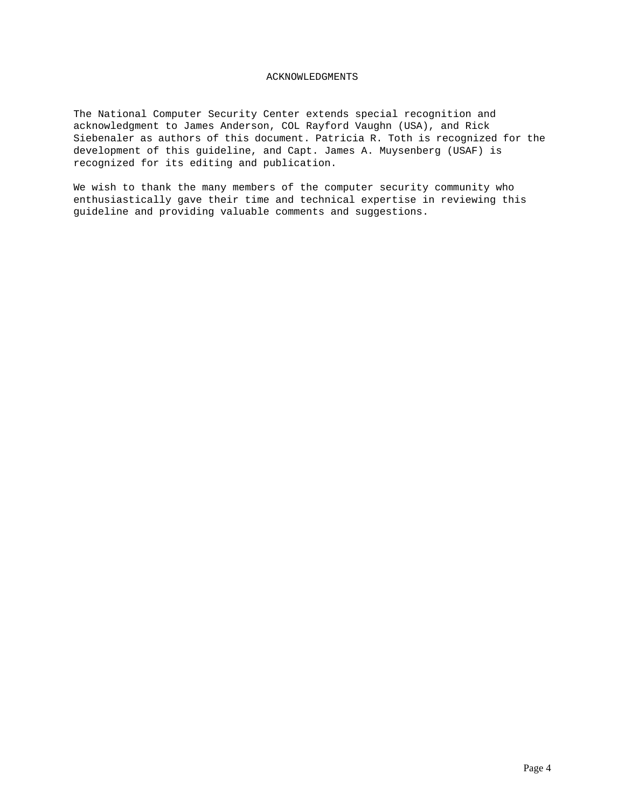# ACKNOWLEDGMENTS

The National Computer Security Center extends special recognition and acknowledgment to James Anderson, COL Rayford Vaughn (USA), and Rick Siebenaler as authors of this document. Patricia R. Toth is recognized for the development of this guideline, and Capt. James A. Muysenberg (USAF) is recognized for its editing and publication.

We wish to thank the many members of the computer security community who enthusiastically gave their time and technical expertise in reviewing this guideline and providing valuable comments and suggestions.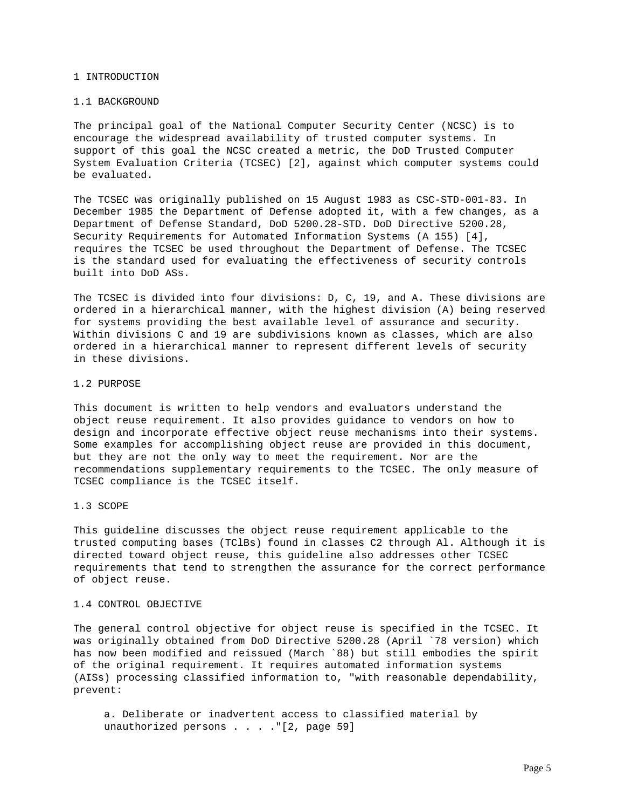#### 1 INTRODUCTION

### 1.1 BACKGROUND

The principal goal of the National Computer Security Center (NCSC) is to encourage the widespread availability of trusted computer systems. In support of this goal the NCSC created a metric, the DoD Trusted Computer System Evaluation Criteria (TCSEC) [2], against which computer systems could be evaluated.

The TCSEC was originally published on 15 August 1983 as CSC-STD-001-83. In December 1985 the Department of Defense adopted it, with a few changes, as a Department of Defense Standard, DoD 5200.28-STD. DoD Directive 5200.28, Security Requirements for Automated Information Systems (A 155) [4], requires the TCSEC be used throughout the Department of Defense. The TCSEC is the standard used for evaluating the effectiveness of security controls built into DoD ASs.

The TCSEC is divided into four divisions: D, C, 19, and A. These divisions are ordered in a hierarchical manner, with the highest division (A) being reserved for systems providing the best available level of assurance and security. Within divisions C and 19 are subdivisions known as classes, which are also ordered in a hierarchical manner to represent different levels of security in these divisions.

### 1.2 PURPOSE

This document is written to help vendors and evaluators understand the object reuse requirement. It also provides guidance to vendors on how to design and incorporate effective object reuse mechanisms into their systems. Some examples for accomplishing object reuse are provided in this document, but they are not the only way to meet the requirement. Nor are the recommendations supplementary requirements to the TCSEC. The only measure of TCSEC compliance is the TCSEC itself.

# 1.3 SCOPE

This guideline discusses the object reuse requirement applicable to the trusted computing bases (TClBs) found in classes C2 through Al. Although it is directed toward object reuse, this guideline also addresses other TCSEC requirements that tend to strengthen the assurance for the correct performance of object reuse.

# 1.4 CONTROL OBJECTIVE

The general control objective for object reuse is specified in the TCSEC. It was originally obtained from DoD Directive 5200.28 (April `78 version) which has now been modified and reissued (March `88) but still embodies the spirit of the original requirement. It requires automated information systems (AISs) processing classified information to, "with reasonable dependability, prevent:

 a. Deliberate or inadvertent access to classified material by unauthorized persons . . . . "[2, page 59]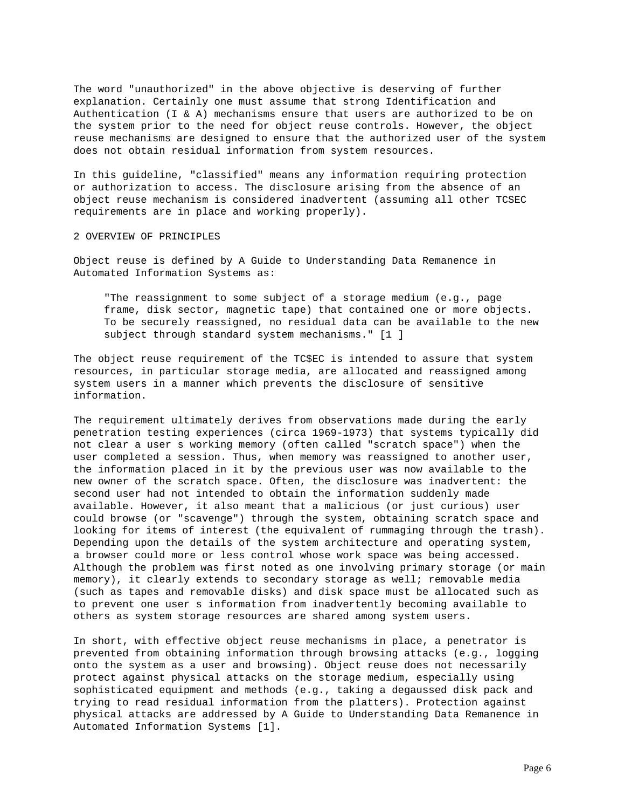The word "unauthorized" in the above objective is deserving of further explanation. Certainly one must assume that strong Identification and Authentication (I & A) mechanisms ensure that users are authorized to be on the system prior to the need for object reuse controls. However, the object reuse mechanisms are designed to ensure that the authorized user of the system does not obtain residual information from system resources.

In this guideline, "classified" means any information requiring protection or authorization to access. The disclosure arising from the absence of an object reuse mechanism is considered inadvertent (assuming all other TCSEC requirements are in place and working properly).

# 2 OVERVIEW OF PRINCIPLES

Object reuse is defined by A Guide to Understanding Data Remanence in Automated Information Systems as:

 "The reassignment to some subject of a storage medium (e.g., page frame, disk sector, magnetic tape) that contained one or more objects. To be securely reassigned, no residual data can be available to the new subject through standard system mechanisms." [1 ]

The object reuse requirement of the TC\$EC is intended to assure that system resources, in particular storage media, are allocated and reassigned among system users in a manner which prevents the disclosure of sensitive information.

The requirement ultimately derives from observations made during the early penetration testing experiences (circa 1969-1973) that systems typically did not clear a user s working memory (often called "scratch space") when the user completed a session. Thus, when memory was reassigned to another user, the information placed in it by the previous user was now available to the new owner of the scratch space. Often, the disclosure was inadvertent: the second user had not intended to obtain the information suddenly made available. However, it also meant that a malicious (or just curious) user could browse (or "scavenge") through the system, obtaining scratch space and looking for items of interest (the equivalent of rummaging through the trash). Depending upon the details of the system architecture and operating system, a browser could more or less control whose work space was being accessed. Although the problem was first noted as one involving primary storage (or main memory), it clearly extends to secondary storage as well; removable media (such as tapes and removable disks) and disk space must be allocated such as to prevent one user s information from inadvertently becoming available to others as system storage resources are shared among system users.

In short, with effective object reuse mechanisms in place, a penetrator is prevented from obtaining information through browsing attacks (e.g., logging onto the system as a user and browsing). Object reuse does not necessarily protect against physical attacks on the storage medium, especially using sophisticated equipment and methods (e.g., taking a degaussed disk pack and trying to read residual information from the platters). Protection against physical attacks are addressed by A Guide to Understanding Data Remanence in Automated Information Systems [1].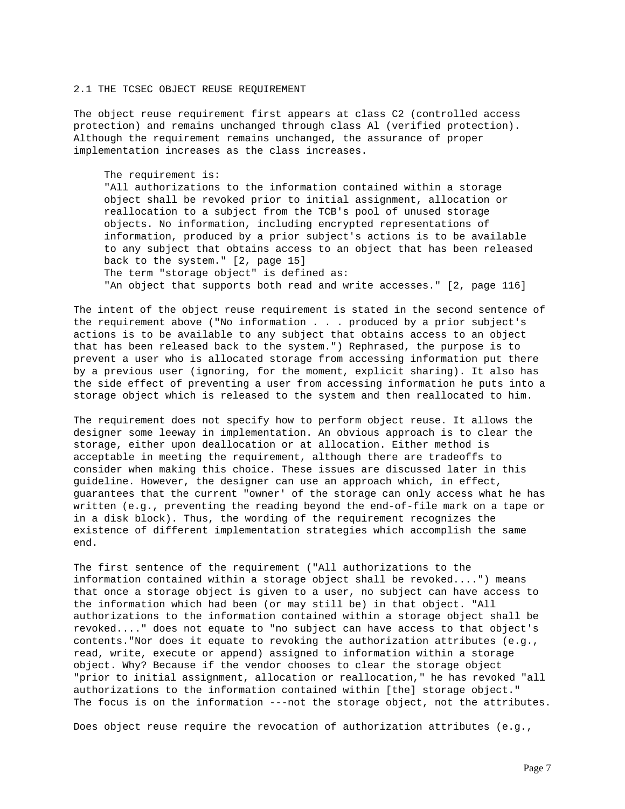### 2.1 THE TCSEC OBJECT REUSE REQUIREMENT

The object reuse requirement first appears at class C2 (controlled access protection) and remains unchanged through class Al (verified protection). Although the requirement remains unchanged, the assurance of proper implementation increases as the class increases.

#### The requirement is:

 "All authorizations to the information contained within a storage object shall be revoked prior to initial assignment, allocation or reallocation to a subject from the TCB's pool of unused storage objects. No information, including encrypted representations of information, produced by a prior subject's actions is to be available to any subject that obtains access to an object that has been released back to the system." [2, page 15] The term "storage object" is defined as: "An object that supports both read and write accesses." [2, page 116]

The intent of the object reuse requirement is stated in the second sentence of the requirement above ("No information . . . produced by a prior subject's actions is to be available to any subject that obtains access to an object that has been released back to the system.") Rephrased, the purpose is to prevent a user who is allocated storage from accessing information put there by a previous user (ignoring, for the moment, explicit sharing). It also has the side effect of preventing a user from accessing information he puts into a storage object which is released to the system and then reallocated to him.

The requirement does not specify how to perform object reuse. It allows the designer some leeway in implementation. An obvious approach is to clear the storage, either upon deallocation or at allocation. Either method is acceptable in meeting the requirement, although there are tradeoffs to consider when making this choice. These issues are discussed later in this guideline. However, the designer can use an approach which, in effect, guarantees that the current "owner' of the storage can only access what he has written (e.g., preventing the reading beyond the end-of-file mark on a tape or in a disk block). Thus, the wording of the requirement recognizes the existence of different implementation strategies which accomplish the same end.

The first sentence of the requirement ("All authorizations to the information contained within a storage object shall be revoked....") means that once a storage object is given to a user, no subject can have access to the information which had been (or may still be) in that object. "All authorizations to the information contained within a storage object shall be revoked...." does not equate to "no subject can have access to that object's contents."Nor does it equate to revoking the authorization attributes (e.g., read, write, execute or append) assigned to information within a storage object. Why? Because if the vendor chooses to clear the storage object "prior to initial assignment, allocation or reallocation," he has revoked "all authorizations to the information contained within [the] storage object." The focus is on the information ---not the storage object, not the attributes.

Does object reuse require the revocation of authorization attributes (e.g.,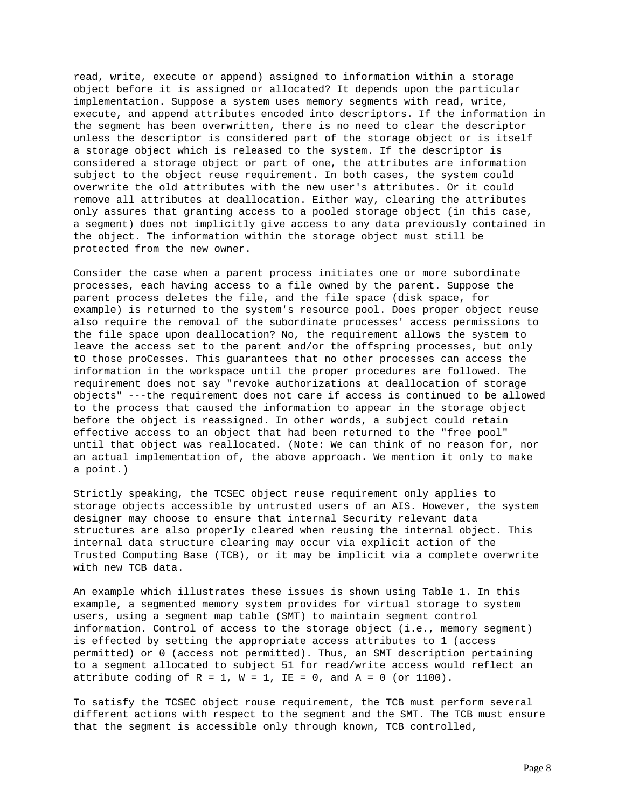read, write, execute or append) assigned to information within a storage object before it is assigned or allocated? It depends upon the particular implementation. Suppose a system uses memory segments with read, write, execute, and append attributes encoded into descriptors. If the information in the segment has been overwritten, there is no need to clear the descriptor unless the descriptor is considered part of the storage object or is itself a storage object which is released to the system. If the descriptor is considered a storage object or part of one, the attributes are information subject to the object reuse requirement. In both cases, the system could overwrite the old attributes with the new user's attributes. Or it could remove all attributes at deallocation. Either way, clearing the attributes only assures that granting access to a pooled storage object (in this case, a segment) does not implicitly give access to any data previously contained in the object. The information within the storage object must still be protected from the new owner.

Consider the case when a parent process initiates one or more subordinate processes, each having access to a file owned by the parent. Suppose the parent process deletes the file, and the file space (disk space, for example) is returned to the system's resource pool. Does proper object reuse also require the removal of the subordinate processes' access permissions to the file space upon deallocation? No, the requirement allows the system to leave the access set to the parent and/or the offspring processes, but only tO those proCesses. This guarantees that no other processes can access the information in the workspace until the proper procedures are followed. The requirement does not say "revoke authorizations at deallocation of storage objects" ---the requirement does not care if access is continued to be allowed to the process that caused the information to appear in the storage object before the object is reassigned. In other words, a subject could retain effective access to an object that had been returned to the "free pool" until that object was reallocated. (Note: We can think of no reason for, nor an actual implementation of, the above approach. We mention it only to make a point.)

Strictly speaking, the TCSEC object reuse requirement only applies to storage objects accessible by untrusted users of an AIS. However, the system designer may choose to ensure that internal Security relevant data structures are also properly cleared when reusing the internal object. This internal data structure clearing may occur via explicit action of the Trusted Computing Base (TCB), or it may be implicit via a complete overwrite with new TCB data.

An example which illustrates these issues is shown using Table 1. In this example, a segmented memory system provides for virtual storage to system users, using a segment map table (SMT) to maintain segment control information. Control of access to the storage object (i.e., memory segment) is effected by setting the appropriate access attributes to 1 (access permitted) or 0 (access not permitted). Thus, an SMT description pertaining to a segment allocated to subject 51 for read/write access would reflect an attribute coding of  $R = 1$ ,  $W = 1$ ,  $IE = 0$ , and  $A = 0$  (or  $1100$ ).

To satisfy the TCSEC object rouse requirement, the TCB must perform several different actions with respect to the segment and the SMT. The TCB must ensure that the segment is accessible only through known, TCB controlled,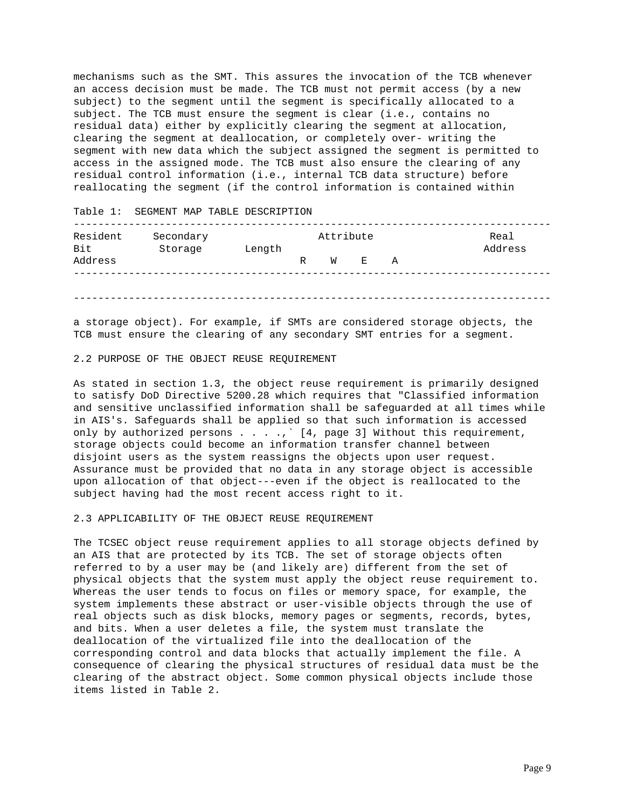mechanisms such as the SMT. This assures the invocation of the TCB whenever an access decision must be made. The TCB must not permit access (by a new subject) to the segment until the segment is specifically allocated to a subject. The TCB must ensure the segment is clear (i.e., contains no residual data) either by explicitly clearing the segment at allocation, clearing the segment at deallocation, or completely over- writing the segment with new data which the subject assigned the segment is permitted to access in the assigned mode. The TCB must also ensure the clearing of any residual control information (i.e., internal TCB data structure) before reallocating the segment (if the control information is contained within

Table 1: SEGMENT MAP TABLE DESCRIPTION ------------------------------------------------------------------------------ Secondary **Research Attribute** Real Bit Storage Length **Bit** Address Address R W E A ------------------------------------------------------------------------------ ------------------------------------------------------------------------------

a storage object). For example, if SMTs are considered storage objects, the TCB must ensure the clearing of any secondary SMT entries for a segment.

# 2.2 PURPOSE OF THE OBJECT REUSE REQUIREMENT

As stated in section 1.3, the object reuse requirement is primarily designed to satisfy DoD Directive 5200.28 which requires that "Classified information and sensitive unclassified information shall be safeguarded at all times while in AIS's. Safeguards shall be applied so that such information is accessed only by authorized persons  $\ldots$ ,  $(4,$  page 3] Without this requirement, storage objects could become an information transfer channel between disjoint users as the system reassigns the objects upon user request. Assurance must be provided that no data in any storage object is accessible upon allocation of that object---even if the object is reallocated to the subject having had the most recent access right to it.

# 2.3 APPLICABILITY OF THE OBJECT REUSE REQUIREMENT

The TCSEC object reuse requirement applies to all storage objects defined by an AIS that are protected by its TCB. The set of storage objects often referred to by a user may be (and likely are) different from the set of physical objects that the system must apply the object reuse requirement to. Whereas the user tends to focus on files or memory space, for example, the system implements these abstract or user-visible objects through the use of real objects such as disk blocks, memory pages or segments, records, bytes, and bits. When a user deletes a file, the system must translate the deallocation of the virtualized file into the deallocation of the corresponding control and data blocks that actually implement the file. A consequence of clearing the physical structures of residual data must be the clearing of the abstract object. Some common physical objects include those items listed in Table 2.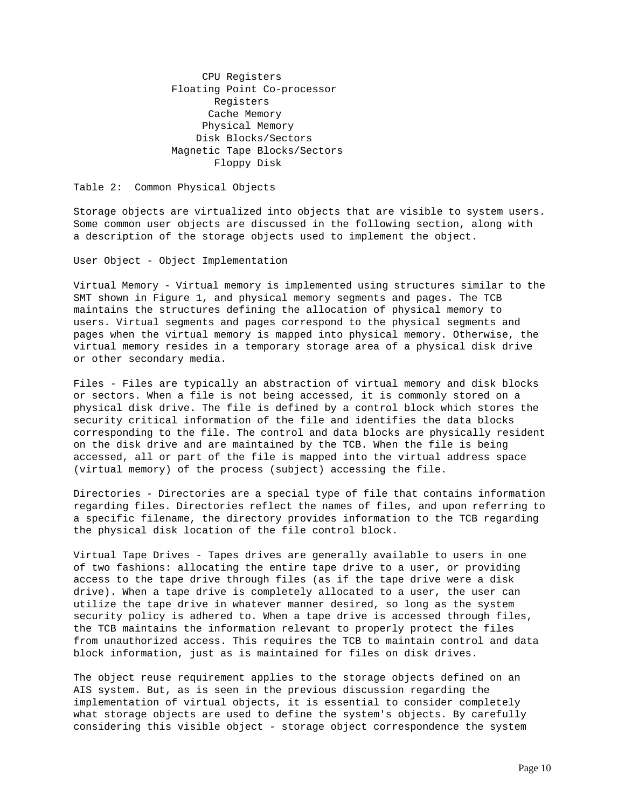CPU Registers Floating Point Co-processor Registers Cache Memory Physical Memory Disk Blocks/Sectors Magnetic Tape Blocks/Sectors Floppy Disk

Table 2: Common Physical Objects

Storage objects are virtualized into objects that are visible to system users. Some common user objects are discussed in the following section, along with a description of the storage objects used to implement the object.

User Object - Object Implementation

Virtual Memory - Virtual memory is implemented using structures similar to the SMT shown in Figure 1, and physical memory segments and pages. The TCB maintains the structures defining the allocation of physical memory to users. Virtual segments and pages correspond to the physical segments and pages when the virtual memory is mapped into physical memory. Otherwise, the virtual memory resides in a temporary storage area of a physical disk drive or other secondary media.

Files - Files are typically an abstraction of virtual memory and disk blocks or sectors. When a file is not being accessed, it is commonly stored on a physical disk drive. The file is defined by a control block which stores the security critical information of the file and identifies the data blocks corresponding to the file. The control and data blocks are physically resident on the disk drive and are maintained by the TCB. When the file is being accessed, all or part of the file is mapped into the virtual address space (virtual memory) of the process (subject) accessing the file.

Directories - Directories are a special type of file that contains information regarding files. Directories reflect the names of files, and upon referring to a specific filename, the directory provides information to the TCB regarding the physical disk location of the file control block.

Virtual Tape Drives - Tapes drives are generally available to users in one of two fashions: allocating the entire tape drive to a user, or providing access to the tape drive through files (as if the tape drive were a disk drive). When a tape drive is completely allocated to a user, the user can utilize the tape drive in whatever manner desired, so long as the system security policy is adhered to. When a tape drive is accessed through files, the TCB maintains the information relevant to properly protect the files from unauthorized access. This requires the TCB to maintain control and data block information, just as is maintained for files on disk drives.

The object reuse requirement applies to the storage objects defined on an AIS system. But, as is seen in the previous discussion regarding the implementation of virtual objects, it is essential to consider completely what storage objects are used to define the system's objects. By carefully considering this visible object - storage object correspondence the system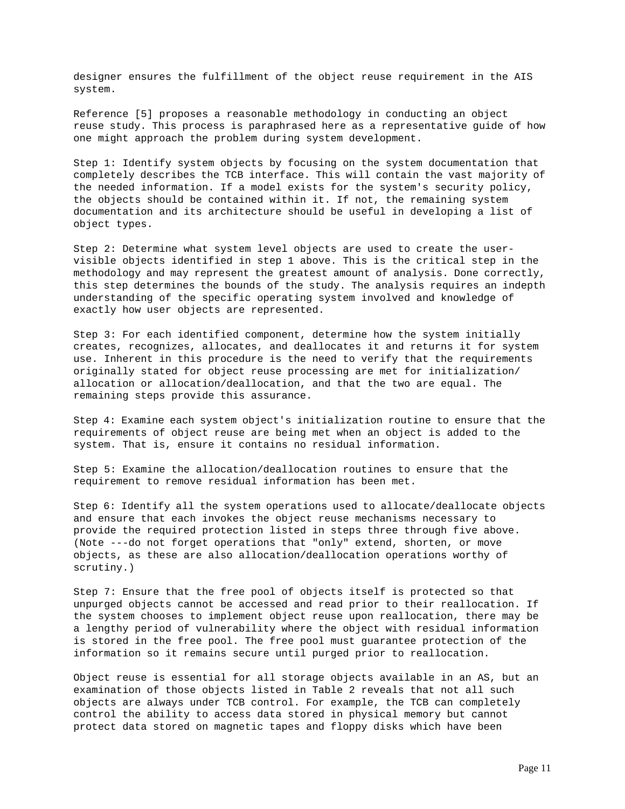designer ensures the fulfillment of the object reuse requirement in the AIS system.

Reference [5] proposes a reasonable methodology in conducting an object reuse study. This process is paraphrased here as a representative guide of how one might approach the problem during system development.

Step 1: Identify system objects by focusing on the system documentation that completely describes the TCB interface. This will contain the vast majority of the needed information. If a model exists for the system's security policy, the objects should be contained within it. If not, the remaining system documentation and its architecture should be useful in developing a list of object types.

Step 2: Determine what system level objects are used to create the uservisible objects identified in step 1 above. This is the critical step in the methodology and may represent the greatest amount of analysis. Done correctly, this step determines the bounds of the study. The analysis requires an indepth understanding of the specific operating system involved and knowledge of exactly how user objects are represented.

Step 3: For each identified component, determine how the system initially creates, recognizes, allocates, and deallocates it and returns it for system use. Inherent in this procedure is the need to verify that the requirements originally stated for object reuse processing are met for initialization/ allocation or allocation/deallocation, and that the two are equal. The remaining steps provide this assurance.

Step 4: Examine each system object's initialization routine to ensure that the requirements of object reuse are being met when an object is added to the system. That is, ensure it contains no residual information.

Step 5: Examine the allocation/deallocation routines to ensure that the requirement to remove residual information has been met.

Step 6: Identify all the system operations used to allocate/deallocate objects and ensure that each invokes the object reuse mechanisms necessary to provide the required protection listed in steps three through five above. (Note ---do not forget operations that "only" extend, shorten, or move objects, as these are also allocation/deallocation operations worthy of scrutiny.)

Step 7: Ensure that the free pool of objects itself is protected so that unpurged objects cannot be accessed and read prior to their reallocation. If the system chooses to implement object reuse upon reallocation, there may be a lengthy period of vulnerability where the object with residual information is stored in the free pool. The free pool must guarantee protection of the information so it remains secure until purged prior to reallocation.

Object reuse is essential for all storage objects available in an AS, but an examination of those objects listed in Table 2 reveals that not all such objects are always under TCB control. For example, the TCB can completely control the ability to access data stored in physical memory but cannot protect data stored on magnetic tapes and floppy disks which have been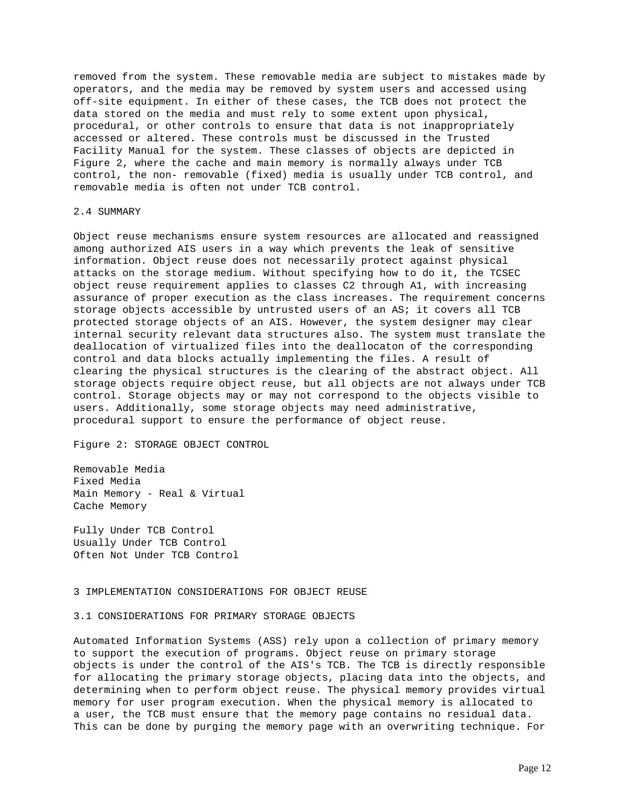removed from the system. These removable media are subject to mistakes made by operators, and the media may be removed by system users and accessed using off-site equipment. In either of these cases, the TCB does not protect the data stored on the media and must rely to some extent upon physical, procedural, or other controls to ensure that data is not inappropriately accessed or altered. These controls must be discussed in the Trusted Facility Manual for the system. These classes of objects are depicted in Figure 2, where the cache and main memory is normally always under TCB control, the non- removable (fixed) media is usually under TCB control, and removable media is often not under TCB control.

### 2.4 SUMMARY

Object reuse mechanisms ensure system resources are allocated and reassigned among authorized AIS users in a way which prevents the leak of sensitive information. Object reuse does not necessarily protect against physical attacks on the storage medium. Without specifying how to do it, the TCSEC object reuse requirement applies to classes C2 through A1, with increasing assurance of proper execution as the class increases. The requirement concerns storage objects accessible by untrusted users of an AS; it covers all TCB protected storage objects of an AIS. However, the system designer may clear internal security relevant data structures also. The system must translate the deallocation of virtualized files into the deallocaton of the corresponding control and data blocks actually implementing the files. A result of clearing the physical structures is the clearing of the abstract object. All storage objects require object reuse, but all objects are not always under TCB control. Storage objects may or may not correspond to the objects visible to users. Additionally, some storage objects may need administrative, procedural support to ensure the performance of object reuse.

Figure 2: STORAGE OBJECT CONTROL

Removable Media Fixed Media Main Memory - Real & Virtual Cache Memory

Fully Under TCB Control Usually Under TCB Control Often Not Under TCB Control

#### 3 IMPLEMENTATION CONSIDERATIONS FOR OBJECT REUSE

### 3.1 CONSIDERATIONS FOR PRIMARY STORAGE OBJECTS

Automated Information Systems (ASS) rely upon a collection of primary memory to support the execution of programs. Object reuse on primary storage objects is under the control of the AIS's TCB. The TCB is directly responsible for allocating the primary storage objects, placing data into the objects, and determining when to perform object reuse. The physical memory provides virtual memory for user program execution. When the physical memory is allocated to a user, the TCB must ensure that the memory page contains no residual data. This can be done by purging the memory page with an overwriting technique. For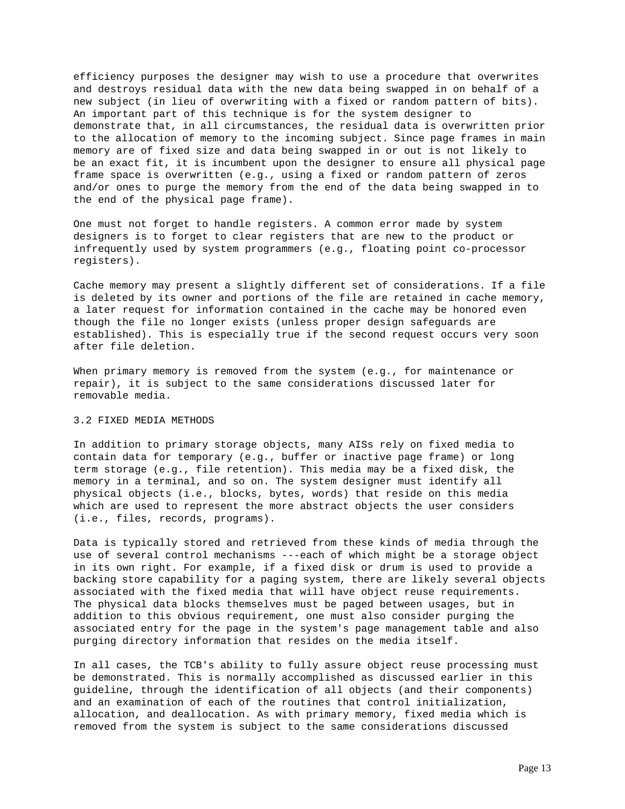efficiency purposes the designer may wish to use a procedure that overwrites and destroys residual data with the new data being swapped in on behalf of a new subject (in lieu of overwriting with a fixed or random pattern of bits). An important part of this technique is for the system designer to demonstrate that, in all circumstances, the residual data is overwritten prior to the allocation of memory to the incoming subject. Since page frames in main memory are of fixed size and data being swapped in or out is not likely to be an exact fit, it is incumbent upon the designer to ensure all physical page frame space is overwritten (e.g., using a fixed or random pattern of zeros and/or ones to purge the memory from the end of the data being swapped in to the end of the physical page frame).

One must not forget to handle registers. A common error made by system designers is to forget to clear registers that are new to the product or infrequently used by system programmers (e.g., floating point co-processor registers).

Cache memory may present a slightly different set of considerations. If a file is deleted by its owner and portions of the file are retained in cache memory, a later request for information contained in the cache may be honored even though the file no longer exists (unless proper design safeguards are established). This is especially true if the second request occurs very soon after file deletion.

When primary memory is removed from the system (e.g., for maintenance or repair), it is subject to the same considerations discussed later for removable media.

# 3.2 FIXED MEDIA METHODS

In addition to primary storage objects, many AISs rely on fixed media to contain data for temporary (e.g., buffer or inactive page frame) or long term storage (e.g., file retention). This media may be a fixed disk, the memory in a terminal, and so on. The system designer must identify all physical objects (i.e., blocks, bytes, words) that reside on this media which are used to represent the more abstract objects the user considers (i.e., files, records, programs).

Data is typically stored and retrieved from these kinds of media through the use of several control mechanisms ---each of which might be a storage object in its own right. For example, if a fixed disk or drum is used to provide a backing store capability for a paging system, there are likely several objects associated with the fixed media that will have object reuse requirements. The physical data blocks themselves must be paged between usages, but in addition to this obvious requirement, one must also consider purging the associated entry for the page in the system's page management table and also purging directory information that resides on the media itself.

In all cases, the TCB's ability to fully assure object reuse processing must be demonstrated. This is normally accomplished as discussed earlier in this guideline, through the identification of all objects (and their components) and an examination of each of the routines that control initialization, allocation, and deallocation. As with primary memory, fixed media which is removed from the system is subject to the same considerations discussed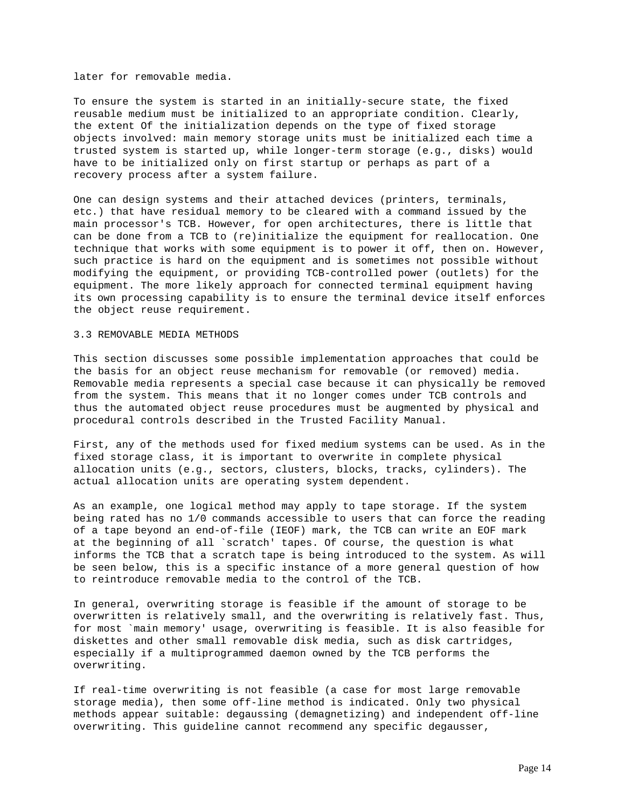later for removable media.

To ensure the system is started in an initially-secure state, the fixed reusable medium must be initialized to an appropriate condition. Clearly, the extent Of the initialization depends on the type of fixed storage objects involved: main memory storage units must be initialized each time a trusted system is started up, while longer-term storage (e.g., disks) would have to be initialized only on first startup or perhaps as part of a recovery process after a system failure.

One can design systems and their attached devices (printers, terminals, etc.) that have residual memory to be cleared with a command issued by the main processor's TCB. However, for open architectures, there is little that can be done from a TCB to (re)initialize the equipment for reallocation. One technique that works with some equipment is to power it off, then on. However, such practice is hard on the equipment and is sometimes not possible without modifying the equipment, or providing TCB-controlled power (outlets) for the equipment. The more likely approach for connected terminal equipment having its own processing capability is to ensure the terminal device itself enforces the object reuse requirement.

# 3.3 REMOVABLE MEDIA METHODS

This section discusses some possible implementation approaches that could be the basis for an object reuse mechanism for removable (or removed) media. Removable media represents a special case because it can physically be removed from the system. This means that it no longer comes under TCB controls and thus the automated object reuse procedures must be augmented by physical and procedural controls described in the Trusted Facility Manual.

First, any of the methods used for fixed medium systems can be used. As in the fixed storage class, it is important to overwrite in complete physical allocation units (e.g., sectors, clusters, blocks, tracks, cylinders). The actual allocation units are operating system dependent.

As an example, one logical method may apply to tape storage. If the system being rated has no 1/0 commands accessible to users that can force the reading of a tape beyond an end-of-file (IEOF) mark, the TCB can write an EOF mark at the beginning of all `scratch' tapes. Of course, the question is what informs the TCB that a scratch tape is being introduced to the system. As will be seen below, this is a specific instance of a more general question of how to reintroduce removable media to the control of the TCB.

In general, overwriting storage is feasible if the amount of storage to be overwritten is relatively small, and the overwriting is relatively fast. Thus, for most `main memory' usage, overwriting is feasible. It is also feasible for diskettes and other small removable disk media, such as disk cartridges, especially if a multiprogrammed daemon owned by the TCB performs the overwriting.

If real-time overwriting is not feasible (a case for most large removable storage media), then some off-line method is indicated. Only two physical methods appear suitable: degaussing (demagnetizing) and independent off-line overwriting. This guideline cannot recommend any specific degausser,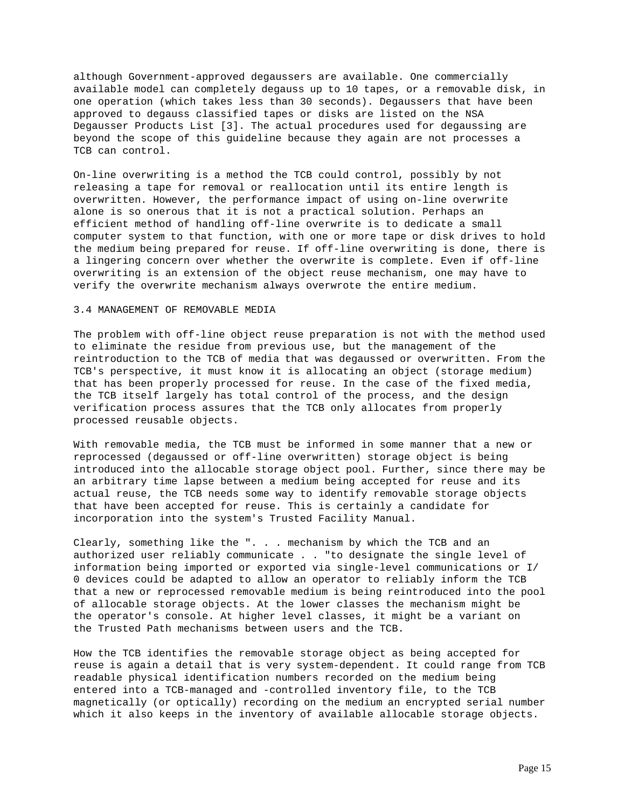although Government-approved degaussers are available. One commercially available model can completely degauss up to 10 tapes, or a removable disk, in one operation (which takes less than 30 seconds). Degaussers that have been approved to degauss classified tapes or disks are listed on the NSA Degausser Products List [3]. The actual procedures used for degaussing are beyond the scope of this guideline because they again are not processes a TCB can control.

On-line overwriting is a method the TCB could control, possibly by not releasing a tape for removal or reallocation until its entire length is overwritten. However, the performance impact of using on-line overwrite alone is so onerous that it is not a practical solution. Perhaps an efficient method of handling off-line overwrite is to dedicate a small computer system to that function, with one or more tape or disk drives to hold the medium being prepared for reuse. If off-line overwriting is done, there is a lingering concern over whether the overwrite is complete. Even if off-line overwriting is an extension of the object reuse mechanism, one may have to verify the overwrite mechanism always overwrote the entire medium.

# 3.4 MANAGEMENT OF REMOVABLE MEDIA

The problem with off-line object reuse preparation is not with the method used to eliminate the residue from previous use, but the management of the reintroduction to the TCB of media that was degaussed or overwritten. From the TCB's perspective, it must know it is allocating an object (storage medium) that has been properly processed for reuse. In the case of the fixed media, the TCB itself largely has total control of the process, and the design verification process assures that the TCB only allocates from properly processed reusable objects.

With removable media, the TCB must be informed in some manner that a new or reprocessed (degaussed or off-line overwritten) storage object is being introduced into the allocable storage object pool. Further, since there may be an arbitrary time lapse between a medium being accepted for reuse and its actual reuse, the TCB needs some way to identify removable storage objects that have been accepted for reuse. This is certainly a candidate for incorporation into the system's Trusted Facility Manual.

Clearly, something like the ". . . mechanism by which the TCB and an authorized user reliably communicate . . "to designate the single level of information being imported or exported via single-level communications or I/ 0 devices could be adapted to allow an operator to reliably inform the TCB that a new or reprocessed removable medium is being reintroduced into the pool of allocable storage objects. At the lower classes the mechanism might be the operator's console. At higher level classes, it might be a variant on the Trusted Path mechanisms between users and the TCB.

How the TCB identifies the removable storage object as being accepted for reuse is again a detail that is very system-dependent. It could range from TCB readable physical identification numbers recorded on the medium being entered into a TCB-managed and -controlled inventory file, to the TCB magnetically (or optically) recording on the medium an encrypted serial number which it also keeps in the inventory of available allocable storage objects.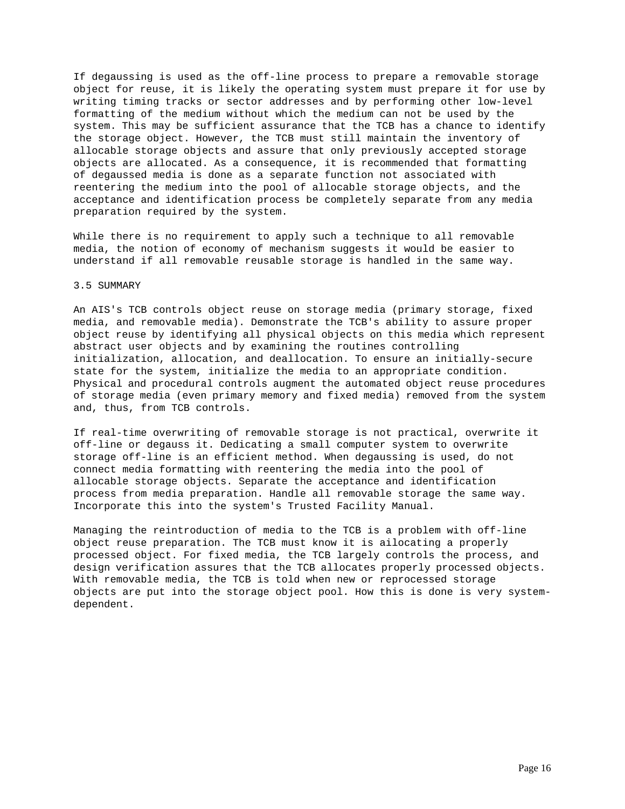If degaussing is used as the off-line process to prepare a removable storage object for reuse, it is likely the operating system must prepare it for use by writing timing tracks or sector addresses and by performing other low-level formatting of the medium without which the medium can not be used by the system. This may be sufficient assurance that the TCB has a chance to identify the storage object. However, the TCB must still maintain the inventory of allocable storage objects and assure that only previously accepted storage objects are allocated. As a consequence, it is recommended that formatting of degaussed media is done as a separate function not associated with reentering the medium into the pool of allocable storage objects, and the acceptance and identification process be completely separate from any media preparation required by the system.

While there is no requirement to apply such a technique to all removable media, the notion of economy of mechanism suggests it would be easier to understand if all removable reusable storage is handled in the same way.

### 3.5 SUMMARY

An AIS's TCB controls object reuse on storage media (primary storage, fixed media, and removable media). Demonstrate the TCB's ability to assure proper object reuse by identifying all physical objects on this media which represent abstract user objects and by examining the routines controlling initialization, allocation, and deallocation. To ensure an initially-secure state for the system, initialize the media to an appropriate condition. Physical and procedural controls augment the automated object reuse procedures of storage media (even primary memory and fixed media) removed from the system and, thus, from TCB controls.

If real-time overwriting of removable storage is not practical, overwrite it off-line or degauss it. Dedicating a small computer system to overwrite storage off-line is an efficient method. When degaussing is used, do not connect media formatting with reentering the media into the pool of allocable storage objects. Separate the acceptance and identification process from media preparation. Handle all removable storage the same way. Incorporate this into the system's Trusted Facility Manual.

Managing the reintroduction of media to the TCB is a problem with off-line object reuse preparation. The TCB must know it is ailocating a properly processed object. For fixed media, the TCB largely controls the process, and design verification assures that the TCB allocates properly processed objects. With removable media, the TCB is told when new or reprocessed storage objects are put into the storage object pool. How this is done is very systemdependent.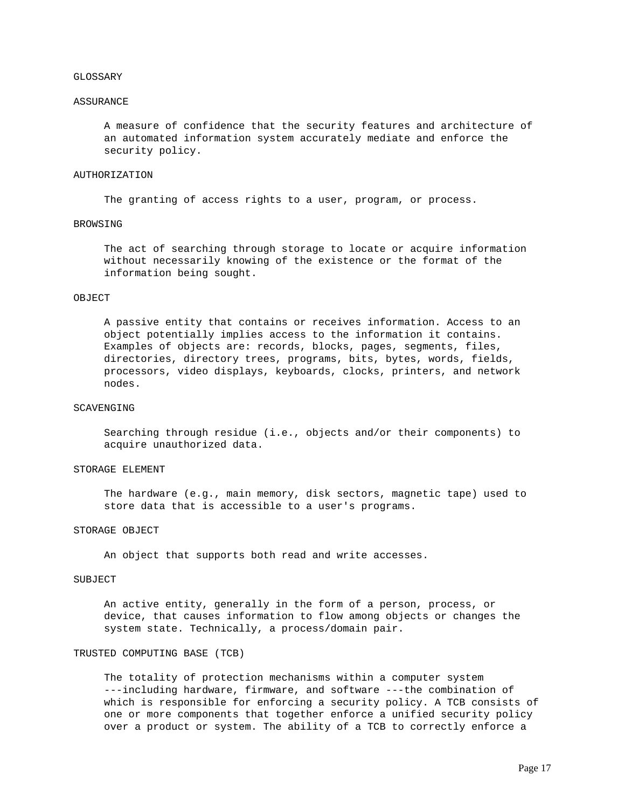#### GLOSSARY

#### ASSURANCE

 A measure of confidence that the security features and architecture of an automated information system accurately mediate and enforce the security policy.

# AUTHORIZATION

The granting of access rights to a user, program, or process.

# BROWSING

 The act of searching through storage to locate or acquire information without necessarily knowing of the existence or the format of the information being sought.

# OBJECT

 A passive entity that contains or receives information. Access to an object potentially implies access to the information it contains. Examples of objects are: records, blocks, pages, segments, files, directories, directory trees, programs, bits, bytes, words, fields, processors, video displays, keyboards, clocks, printers, and network nodes.

### SCAVENGING

 Searching through residue (i.e., objects and/or their components) to acquire unauthorized data.

# STORAGE ELEMENT

 The hardware (e.g., main memory, disk sectors, magnetic tape) used to store data that is accessible to a user's programs.

#### STORAGE OBJECT

An object that supports both read and write accesses.

#### SUBJECT

 An active entity, generally in the form of a person, process, or device, that causes information to flow among objects or changes the system state. Technically, a process/domain pair.

### TRUSTED COMPUTING BASE (TCB)

 The totality of protection mechanisms within a computer system ---including hardware, firmware, and software ---the combination of which is responsible for enforcing a security policy. A TCB consists of one or more components that together enforce a unified security policy over a product or system. The ability of a TCB to correctly enforce a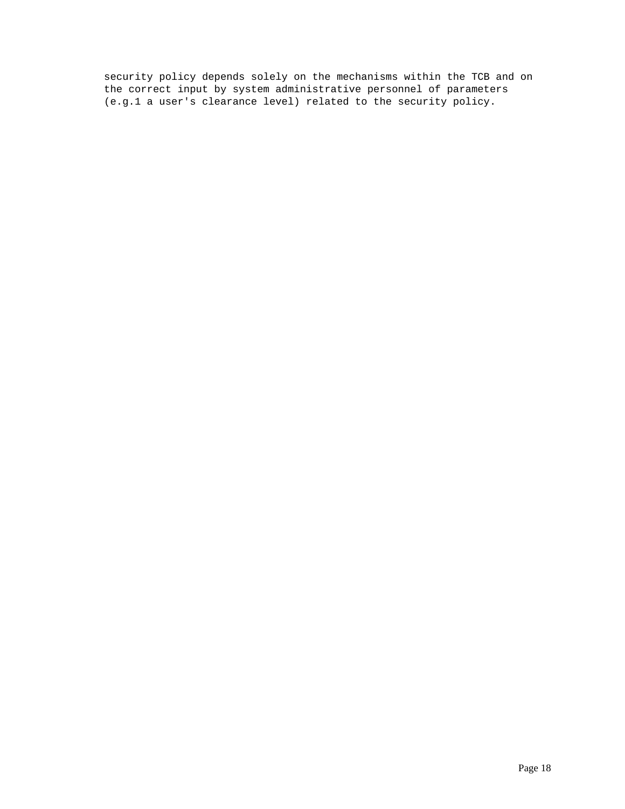security policy depends solely on the mechanisms within the TCB and on the correct input by system administrative personnel of parameters (e.g.1 a user's clearance level) related to the security policy.